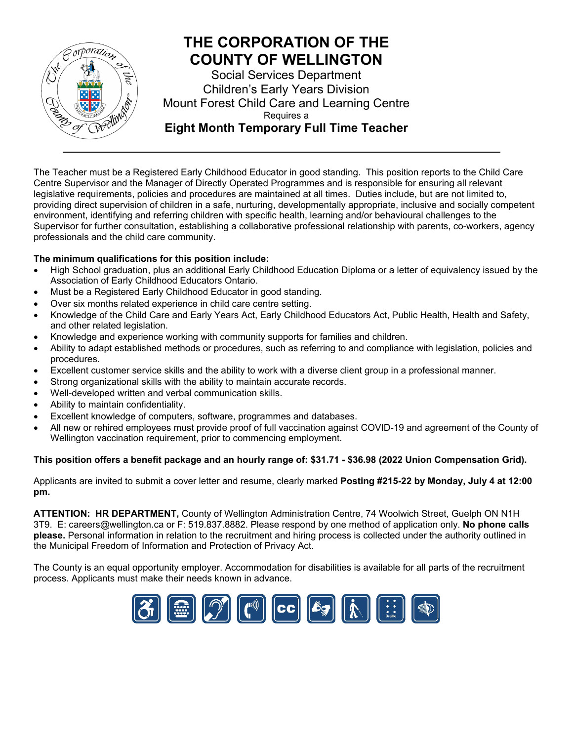

The Teacher must be a Registered Early Childhood Educator in good standing. This position reports to the Child Care Centre Supervisor and the Manager of Directly Operated Programmes and is responsible for ensuring all relevant legislative requirements, policies and procedures are maintained at all times. Duties include, but are not limited to, providing direct supervision of children in a safe, nurturing, developmentally appropriate, inclusive and socially competent environment, identifying and referring children with specific health, learning and/or behavioural challenges to the Supervisor for further consultation, establishing a collaborative professional relationship with parents, co-workers, agency professionals and the child care community.

#### **The minimum qualifications for this position include:**

- High School graduation, plus an additional Early Childhood Education Diploma or a letter of equivalency issued by the Association of Early Childhood Educators Ontario.
- Must be a Registered Early Childhood Educator in good standing.
- Over six months related experience in child care centre setting.
- Knowledge of the Child Care and Early Years Act, Early Childhood Educators Act, Public Health, Health and Safety, and other related legislation.
- Knowledge and experience working with community supports for families and children.
- Ability to adapt established methods or procedures, such as referring to and compliance with legislation, policies and procedures.
- Excellent customer service skills and the ability to work with a diverse client group in a professional manner.
- Strong organizational skills with the ability to maintain accurate records.
- Well-developed written and verbal communication skills.
- Ability to maintain confidentiality.
- Excellent knowledge of computers, software, programmes and databases.
- All new or rehired employees must provide proof of full vaccination against COVID-19 and agreement of the County of Wellington vaccination requirement, prior to commencing employment.

#### **This position offers a benefit package and an hourly range of: \$31.71 - \$36.98 (2022 Union Compensation Grid).**

Applicants are invited to submit a cover letter and resume, clearly marked **Posting #215-22 by Monday, July 4 at 12:00 pm.**

**ATTENTION: HR DEPARTMENT,** County of Wellington Administration Centre, 74 Woolwich Street, Guelph ON N1H 3T9. E: [careers@wellington.ca](mailto:careers@wellington.ca) or F: 519.837.8882. Please respond by one method of application only. **No phone calls please.** Personal information in relation to the recruitment and hiring process is collected under the authority outlined in the Municipal Freedom of Information and Protection of Privacy Act.

The County is an equal opportunity employer. Accommodation for disabilities is available for all parts of the recruitment process. Applicants must make their needs known in advance.

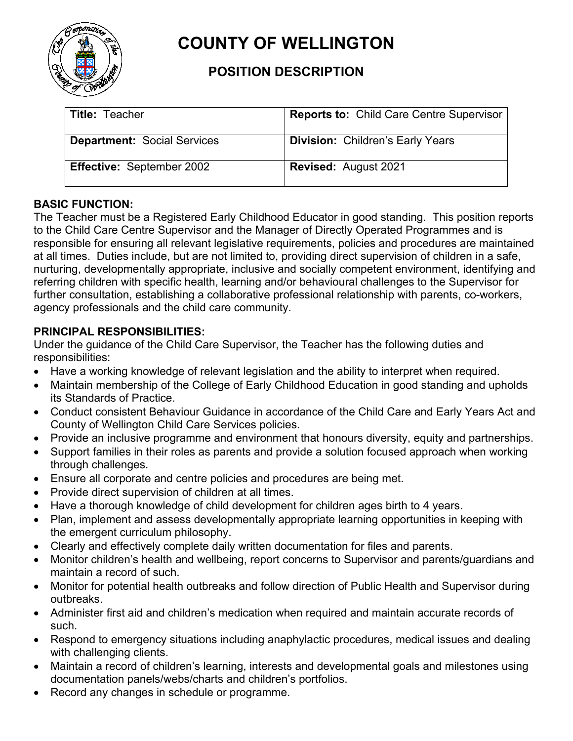

# **COUNTY OF WELLINGTON**

## **POSITION DESCRIPTION**

| <b>Title: Teacher</b>              | <b>Reports to: Child Care Centre Supervisor</b> |
|------------------------------------|-------------------------------------------------|
| <b>Department: Social Services</b> | <b>Division: Children's Early Years</b>         |
| <b>Effective: September 2002</b>   | <b>Revised: August 2021</b>                     |

## **BASIC FUNCTION:**

The Teacher must be a Registered Early Childhood Educator in good standing. This position reports to the Child Care Centre Supervisor and the Manager of Directly Operated Programmes and is responsible for ensuring all relevant legislative requirements, policies and procedures are maintained at all times. Duties include, but are not limited to, providing direct supervision of children in a safe, nurturing, developmentally appropriate, inclusive and socially competent environment, identifying and referring children with specific health, learning and/or behavioural challenges to the Supervisor for further consultation, establishing a collaborative professional relationship with parents, co-workers, agency professionals and the child care community.

## **PRINCIPAL RESPONSIBILITIES:**

Under the guidance of the Child Care Supervisor, the Teacher has the following duties and responsibilities:

- Have a working knowledge of relevant legislation and the ability to interpret when required.
- Maintain membership of the College of Early Childhood Education in good standing and upholds its Standards of Practice.
- Conduct consistent Behaviour Guidance in accordance of the Child Care and Early Years Act and County of Wellington Child Care Services policies.
- Provide an inclusive programme and environment that honours diversity, equity and partnerships.
- Support families in their roles as parents and provide a solution focused approach when working through challenges.
- Ensure all corporate and centre policies and procedures are being met.
- Provide direct supervision of children at all times.
- Have a thorough knowledge of child development for children ages birth to 4 years.
- Plan, implement and assess developmentally appropriate learning opportunities in keeping with the emergent curriculum philosophy.
- Clearly and effectively complete daily written documentation for files and parents.
- Monitor children's health and wellbeing, report concerns to Supervisor and parents/guardians and maintain a record of such.
- Monitor for potential health outbreaks and follow direction of Public Health and Supervisor during outbreaks.
- Administer first aid and children's medication when required and maintain accurate records of such.
- Respond to emergency situations including anaphylactic procedures, medical issues and dealing with challenging clients.
- Maintain a record of children's learning, interests and developmental goals and milestones using documentation panels/webs/charts and children's portfolios.
- Record any changes in schedule or programme.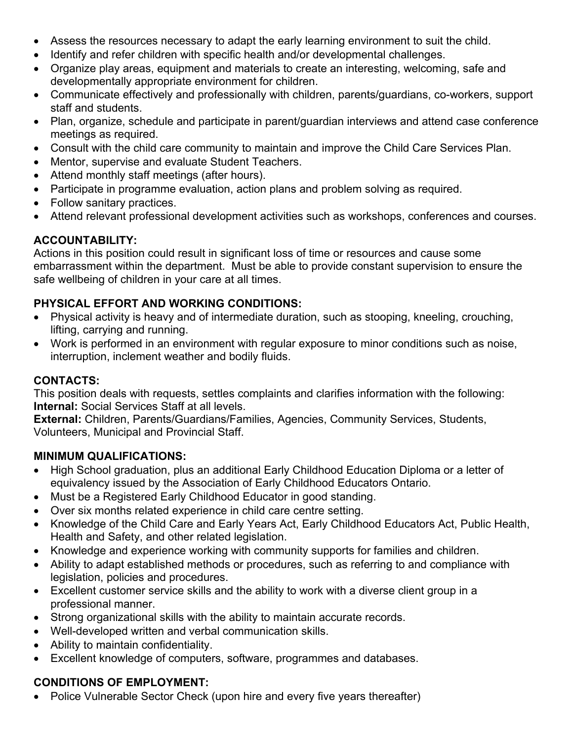- Assess the resources necessary to adapt the early learning environment to suit the child.
- Identify and refer children with specific health and/or developmental challenges.
- Organize play areas, equipment and materials to create an interesting, welcoming, safe and developmentally appropriate environment for children.
- Communicate effectively and professionally with children, parents/guardians, co-workers, support staff and students.
- Plan, organize, schedule and participate in parent/guardian interviews and attend case conference meetings as required.
- Consult with the child care community to maintain and improve the Child Care Services Plan.
- Mentor, supervise and evaluate Student Teachers.
- Attend monthly staff meetings (after hours).
- Participate in programme evaluation, action plans and problem solving as required.
- Follow sanitary practices.
- Attend relevant professional development activities such as workshops, conferences and courses.

## **ACCOUNTABILITY:**

Actions in this position could result in significant loss of time or resources and cause some embarrassment within the department. Must be able to provide constant supervision to ensure the safe wellbeing of children in your care at all times.

## **PHYSICAL EFFORT AND WORKING CONDITIONS:**

- Physical activity is heavy and of intermediate duration, such as stooping, kneeling, crouching, lifting, carrying and running.
- Work is performed in an environment with regular exposure to minor conditions such as noise, interruption, inclement weather and bodily fluids.

#### **CONTACTS:**

This position deals with requests, settles complaints and clarifies information with the following: **Internal:** Social Services Staff at all levels.

**External:** Children, Parents/Guardians/Families, Agencies, Community Services, Students, Volunteers, Municipal and Provincial Staff.

#### **MINIMUM QUALIFICATIONS:**

- High School graduation, plus an additional Early Childhood Education Diploma or a letter of equivalency issued by the Association of Early Childhood Educators Ontario.
- Must be a Registered Early Childhood Educator in good standing.
- Over six months related experience in child care centre setting.
- Knowledge of the Child Care and Early Years Act, Early Childhood Educators Act, Public Health, Health and Safety, and other related legislation.
- Knowledge and experience working with community supports for families and children.
- Ability to adapt established methods or procedures, such as referring to and compliance with legislation, policies and procedures.
- Excellent customer service skills and the ability to work with a diverse client group in a professional manner.
- Strong organizational skills with the ability to maintain accurate records.
- Well-developed written and verbal communication skills.
- Ability to maintain confidentiality.
- Excellent knowledge of computers, software, programmes and databases.

#### **CONDITIONS OF EMPLOYMENT:**

• Police Vulnerable Sector Check (upon hire and every five years thereafter)